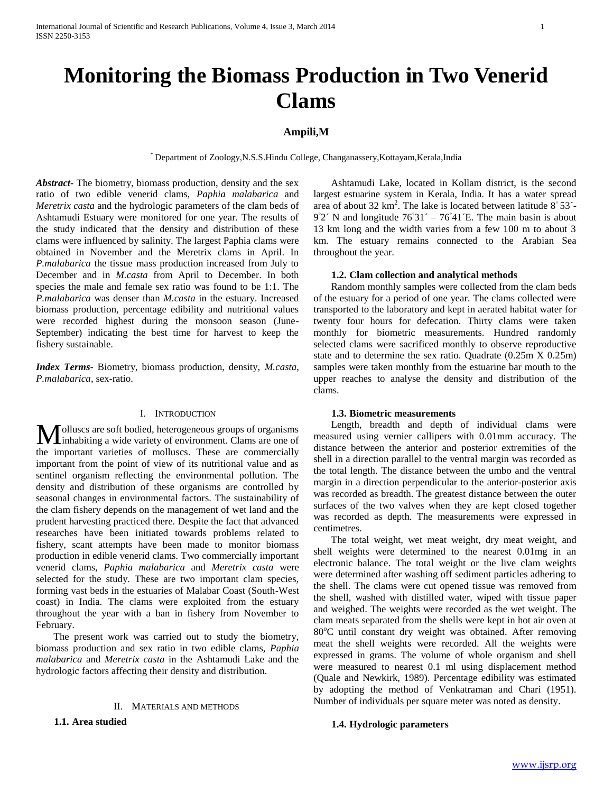# **Monitoring the Biomass Production in Two Venerid Clams**

# **Ampili,M**

\* Department of Zoology,N.S.S.Hindu College, Changanassery,Kottayam,Kerala,India

*Abstract***-** The biometry, biomass production, density and the sex ratio of two edible venerid clams, *Paphia malabarica* and *Meretrix casta* and the hydrologic parameters of the clam beds of Ashtamudi Estuary were monitored for one year. The results of the study indicated that the density and distribution of these clams were influenced by salinity. The largest Paphia clams were obtained in November and the Meretrix clams in April. In *P.malabarica* the tissue mass production increased from July to December and in *M.casta* from April to December. In both species the male and female sex ratio was found to be 1:1. The *P.malabarica* was denser than *M.casta* in the estuary. Increased biomass production, percentage edibility and nutritional values were recorded highest during the monsoon season (June-September) indicating the best time for harvest to keep the fishery sustainable.

*Index Terms*- Biometry, biomass production, density, *M.casta, P.malabarica*, sex-ratio.

## I. INTRODUCTION

olluscs are soft bodied, heterogeneous groups of organisms **M** olluscs are soft bodied, heterogeneous groups of organisms<br>inhabiting a wide variety of environment. Clams are one of the important varieties of molluscs. These are commercially important from the point of view of its nutritional value and as sentinel organism reflecting the environmental pollution. The density and distribution of these organisms are controlled by seasonal changes in environmental factors. The sustainability of the clam fishery depends on the management of wet land and the prudent harvesting practiced there. Despite the fact that advanced researches have been initiated towards problems related to fishery, scant attempts have been made to monitor biomass production in edible venerid clams. Two commercially important venerid clams, *Paphia malabarica* and *Meretrix casta* were selected for the study. These are two important clam species, forming vast beds in the estuaries of Malabar Coast (South-West coast) in India. The clams were exploited from the estuary throughout the year with a ban in fishery from November to February.

 The present work was carried out to study the biometry, biomass production and sex ratio in two edible clams, *Paphia malabarica* and *Meretrix casta* in the Ashtamudi Lake and the hydrologic factors affecting their density and distribution.

## II. MATERIALS AND METHODS

**1.1. Area studied**

 Ashtamudi Lake, located in Kollam district, is the second largest estuarine system in Kerala, India. It has a water spread area of about 32 km<sup>2</sup>. The lake is located between latitude  $8°$  53<sup>2</sup>  $9°2'$  N and longitude  $76°31' - 76°41$  E. The main basin is about 13 km long and the width varies from a few 100 m to about 3 km. The estuary remains connected to the Arabian Sea throughout the year.

### **1.2. Clam collection and analytical methods**

 Random monthly samples were collected from the clam beds of the estuary for a period of one year. The clams collected were transported to the laboratory and kept in aerated habitat water for twenty four hours for defecation. Thirty clams were taken monthly for biometric measurements. Hundred randomly selected clams were sacrificed monthly to observe reproductive state and to determine the sex ratio. Quadrate (0.25m X 0.25m) samples were taken monthly from the estuarine bar mouth to the upper reaches to analyse the density and distribution of the clams.

# **1.3. Biometric measurements**

 Length, breadth and depth of individual clams were measured using vernier callipers with 0.01mm accuracy. The distance between the anterior and posterior extremities of the shell in a direction parallel to the ventral margin was recorded as the total length. The distance between the umbo and the ventral margin in a direction perpendicular to the anterior-posterior axis was recorded as breadth. The greatest distance between the outer surfaces of the two valves when they are kept closed together was recorded as depth. The measurements were expressed in centimetres.

 The total weight, wet meat weight, dry meat weight, and shell weights were determined to the nearest 0.01mg in an electronic balance. The total weight or the live clam weights were determined after washing off sediment particles adhering to the shell. The clams were cut opened tissue was removed from the shell, washed with distilled water, wiped with tissue paper and weighed. The weights were recorded as the wet weight. The clam meats separated from the shells were kept in hot air oven at  $80^{\circ}$ C until constant dry weight was obtained. After removing meat the shell weights were recorded. All the weights were expressed in grams. The volume of whole organism and shell were measured to nearest 0.1 ml using displacement method (Quale and Newkirk, 1989). Percentage edibility was estimated by adopting the method of Venkatraman and Chari (1951). Number of individuals per square meter was noted as density.

### **1.4. Hydrologic parameters**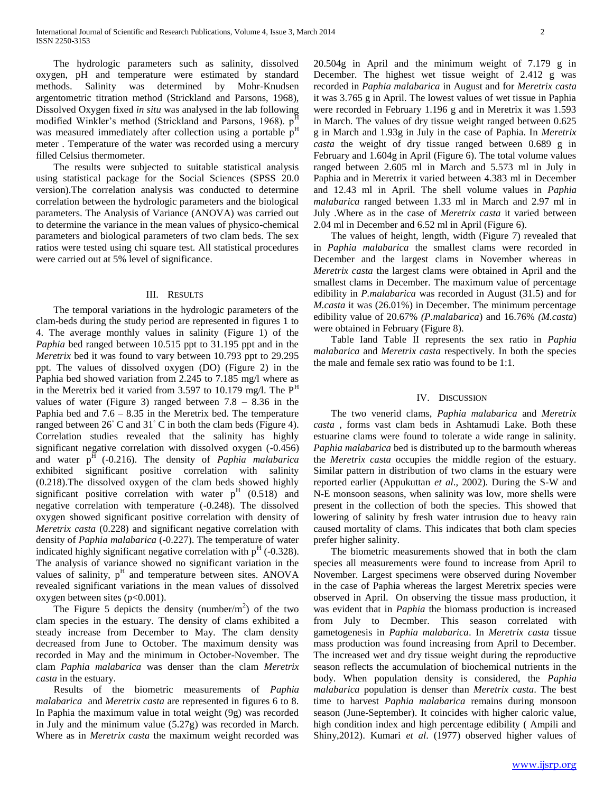The hydrologic parameters such as salinity, dissolved oxygen, pH and temperature were estimated by standard methods. Salinity was determined by Mohr-Knudsen argentometric titration method (Strickland and Parsons, 1968), Dissolved Oxygen fixed *in situ* was analysed in the lab following modified Winkler's method (Strickland and Parsons, 1968). p was measured immediately after collection using a portable  $p<sup>H</sup>$ meter . Temperature of the water was recorded using a mercury filled Celsius thermometer.

 The results were subjected to suitable statistical analysis using statistical package for the Social Sciences (SPSS 20.0 version).The correlation analysis was conducted to determine correlation between the hydrologic parameters and the biological parameters. The Analysis of Variance (ANOVA) was carried out to determine the variance in the mean values of physico-chemical parameters and biological parameters of two clam beds. The sex ratios were tested using chi square test. All statistical procedures were carried out at 5% level of significance.

#### III. RESULTS

 The temporal variations in the hydrologic parameters of the clam-beds during the study period are represented in figures 1 to 4. The average monthly values in salinity (Figure 1) of the *Paphia* bed ranged between 10.515 ppt to 31.195 ppt and in the *Meretrix* bed it was found to vary between 10.793 ppt to 29.295 ppt. The values of dissolved oxygen (DO) (Figure 2) in the Paphia bed showed variation from 2.245 to 7.185 mg/l where as in the Meretrix bed it varied from 3.597 to 10.179 mg/l. The  $P<sup>H</sup>$ values of water (Figure 3) ranged between  $7.8 - 8.36$  in the Paphia bed and  $7.6 - 8.35$  in the Meretrix bed. The temperature ranged between 26◦ C and 31◦ C in both the clam beds (Figure 4). Correlation studies revealed that the salinity has highly significant negative correlation with dissolved oxygen (-0.456) and water  $p^{\overline{H}}$  (-0.216). The density of *Paphia malabarica* exhibited significant positive correlation with salinity (0.218).The dissolved oxygen of the clam beds showed highly significant positive correlation with water  $p<sup>H</sup>$  (0.518) and negative correlation with temperature (-0.248). The dissolved oxygen showed significant positive correlation with density of *Meretrix casta* (0.228) and significant negative correlation with density of *Paphia malabarica* (-0.227). The temperature of water indicated highly significant negative correlation with  $p<sup>H</sup>$  (-0.328). The analysis of variance showed no significant variation in the values of salinity, p<sup>H</sup> and temperature between sites. ANOVA revealed significant variations in the mean values of dissolved oxygen between sites  $(p<0.001)$ .

The Figure 5 depicts the density (number/ $m<sup>2</sup>$ ) of the two clam species in the estuary. The density of clams exhibited a steady increase from December to May. The clam density decreased from June to October. The maximum density was recorded in May and the minimum in October-November. The clam *Paphia malabarica* was denser than the clam *Meretrix casta* in the estuary.

 Results of the biometric measurements of *Paphia malabarica* and *Meretrix casta* are represented in figures 6 to 8. In Paphia the maximum value in total weight (9g) was recorded in July and the minimum value (5.27g) was recorded in March. Where as in *Meretrix casta* the maximum weight recorded was

20.504g in April and the minimum weight of 7.179 g in December. The highest wet tissue weight of 2.412 g was recorded in *Paphia malabarica* in August and for *Meretrix casta* it was 3.765 g in April. The lowest values of wet tissue in Paphia were recorded in February 1.196 g and in Meretrix it was 1.593 in March. The values of dry tissue weight ranged between 0.625 g in March and 1.93g in July in the case of Paphia. In *Meretrix casta* the weight of dry tissue ranged between 0.689 g in February and 1.604g in April (Figure 6). The total volume values ranged between 2.605 ml in March and 5.573 ml in July in Paphia and in Meretrix it varied between 4.383 ml in December and 12.43 ml in April. The shell volume values in *Paphia malabarica* ranged between 1.33 ml in March and 2.97 ml in July .Where as in the case of *Meretrix casta* it varied between 2.04 ml in December and 6.52 ml in April (Figure 6).

 The values of height, length, width (Figure 7) revealed that in *Paphia malabarica* the smallest clams were recorded in December and the largest clams in November whereas in *Meretrix casta* the largest clams were obtained in April and the smallest clams in December. The maximum value of percentage edibility in *P.malabarica* was recorded in August (31.5) and for *M.casta* it was (26.01%) in December. The minimum percentage edibility value of 20.67% *(P.malabarica*) and 16.76% *(M.casta*) were obtained in February (Figure 8).

 Table Iand Table II represents the sex ratio in *Paphia malabarica* and *Meretrix casta* respectively. In both the species the male and female sex ratio was found to be 1:1.

#### IV. DISCUSSION

 The two venerid clams, *Paphia malabarica* and *Meretrix casta* , forms vast clam beds in Ashtamudi Lake. Both these estuarine clams were found to tolerate a wide range in salinity. *Paphia malabarica* bed is distributed up to the barmouth whereas the *Meretrix casta* occupies the middle region of the estuary. Similar pattern in distribution of two clams in the estuary were reported earlier (Appukuttan *et al*., 2002). During the S-W and N-E monsoon seasons, when salinity was low, more shells were present in the collection of both the species. This showed that lowering of salinity by fresh water intrusion due to heavy rain caused mortality of clams. This indicates that both clam species prefer higher salinity.

 The biometric measurements showed that in both the clam species all measurements were found to increase from April to November. Largest specimens were observed during November in the case of Paphia whereas the largest Meretrix species were observed in April. On observing the tissue mass production, it was evident that in *Paphia* the biomass production is increased from July to Decmber. This season correlated with gametogenesis in *Paphia malabarica*. In *Meretrix casta* tissue mass production was found increasing from April to December. The increased wet and dry tissue weight during the reproductive season reflects the accumulation of biochemical nutrients in the body. When population density is considered, the *Paphia malabarica* population is denser than *Meretrix casta*. The best time to harvest *Paphia malabarica* remains during monsoon season (June-September). It coincides with higher caloric value, high condition index and high percentage edibility ( Ampili and Shiny,2012). Kumari *et al*. (1977) observed higher values of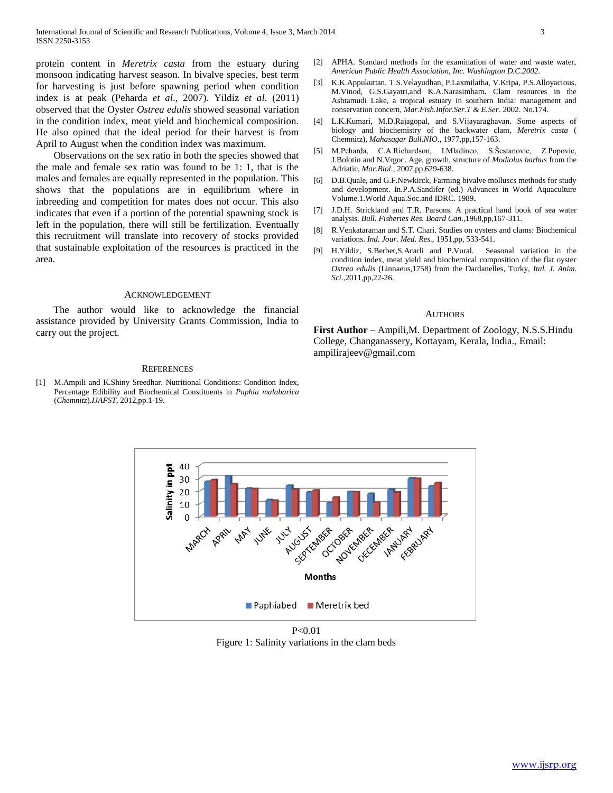protein content in *Meretrix casta* from the estuary during monsoon indicating harvest season. In bivalve species, best term for harvesting is just before spawning period when condition index is at peak (Peharda *et al*., 2007). Yildiz *et al*. (2011) observed that the Oyster *Ostrea edulis* showed seasonal variation in the condition index, meat yield and biochemical composition. He also opined that the ideal period for their harvest is from April to August when the condition index was maximum.

 Observations on the sex ratio in both the species showed that the male and female sex ratio was found to be 1: 1, that is the males and females are equally represented in the population. This shows that the populations are in equilibrium where in inbreeding and competition for mates does not occur. This also indicates that even if a portion of the potential spawning stock is left in the population, there will still be fertilization. Eventually this recruitment will translate into recovery of stocks provided that sustainable exploitation of the resources is practiced in the area.

#### ACKNOWLEDGEMENT

 The author would like to acknowledge the financial assistance provided by University Grants Commission, India to carry out the project.

#### **REFERENCES**

[1] M.Ampili and K.Shiny Sreedhar. Nutritional Conditions: Condition Index, Percentage Edibility and Biochemical Constituents in *Paphia malabarica*  (*Chemnitz*).*IJAFST,* 2012,pp.1-19.

- [2] APHA. Standard methods for the examination of water and waste water, *American Public Health Association, Inc. Washington D.C.2002.*
- [3] K.K.Appukuttan, T.S.Velayudhan, P.Laxmilatha, V.Kripa, P.S.Alloyacious, M.Vinod, G.S.Gayatri,and K.A.Narasimham**.** Clam resources in the Ashtamudi Lake, a tropical estuary in southern India: management and conservation concern, *Mar.Fish.Infor.Ser.T & E.Ser*. 2002. No.174.
- [4] L.K.Kumari, M.D.Rajagopal, and S.Vijayaraghavan. Some aspects of biology and biochemistry of the backwater clam, *Meretrix casta* ( Chemnitz), *Mahasagar Bull.NIO.,* 1977,pp,157-163.
- [5] M.Peharda, C.A.Richardson, I.Mladineo, S.Šestanovic, Z.Popovic, J.Bolotin and N.Vrgoc. Age, growth, structure of *Modiolus barbus* from the Adriatic, *Mar.Biol*., 2007,pp,629-638.
- [6] D.B.Quale, and G.F.Newkirck, Farming bivalve molluscs methods for study and development. In.P.A.Sandifer (ed.) Advances in World Aquaculture Volume.1.World Aqua.Soc.and IDRC. 1989**.**
- [7] J.D.H. Strickland and T.R. Parsons. A practical hand book of sea water analysis. *Bull. Fisheries Res. Board Can*.,1968,pp,167-311.
- [8] R.Venkataraman and S.T. Chari. Studies on oysters and clams: Biochemical variations. *Ind. Jour. Med. Res.,* 1951,pp, 533-541.
- [9] H.Yildiz, S.Berber,S.Acarli and P.Vural. Seasonal variation in the condition index, meat yield and biochemical composition of the flat oyster *Ostrea edulis* (Linnaeus,1758) from the Dardanelles, Turky, *Ital. J. Anim. Sci*.,2011,pp,22-26.

#### AUTHORS

**First Author** – Ampili,M. Department of Zoology, N.S.S.Hindu College, Changanassery, Kottayam, Kerala, India., Email: ampilirajeev@gmail.com



 $P < 0.01$ Figure 1: Salinity variations in the clam beds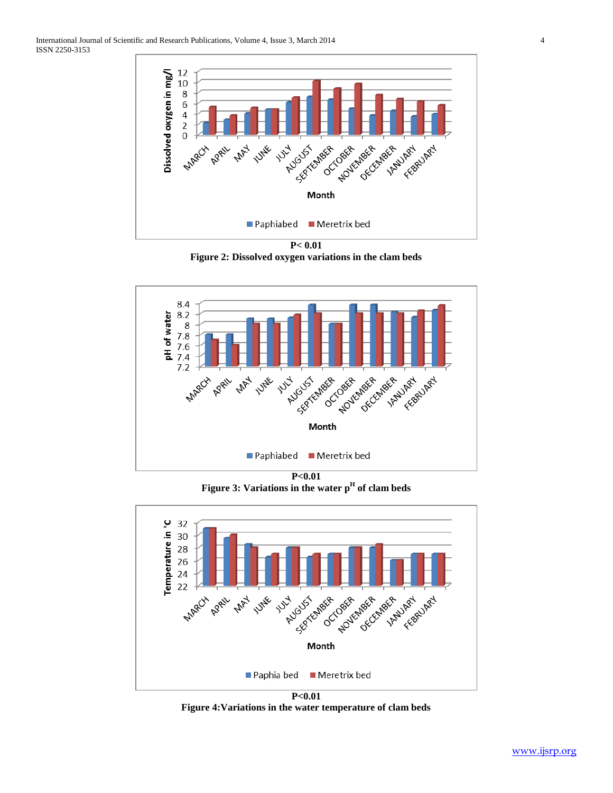

**Figure 2: Dissolved oxygen variations in the clam beds**



**P<0.01 Figure 3: Variations in the water p<sup>H</sup> of clam beds**



**Figure 4:Variations in the water temperature of clam beds**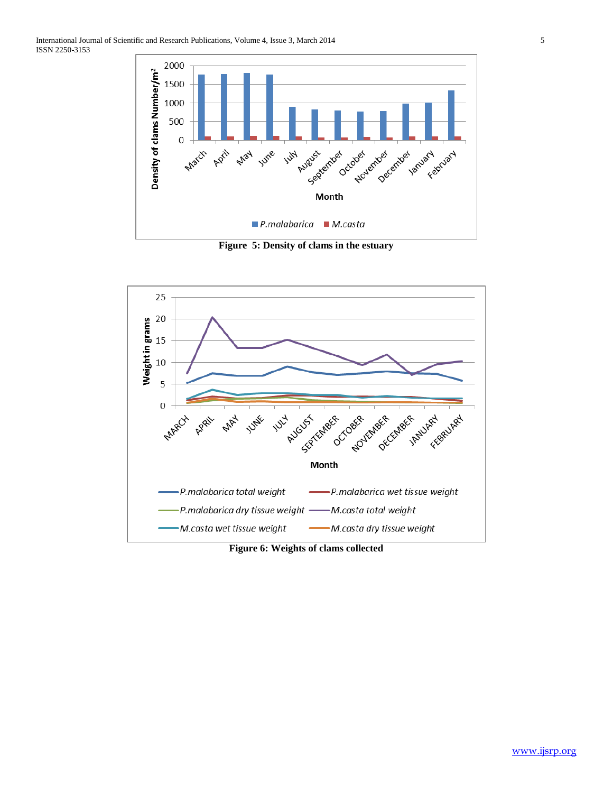

**Figure 5: Density of clams in the estuary**



**Figure 6: Weights of clams collected**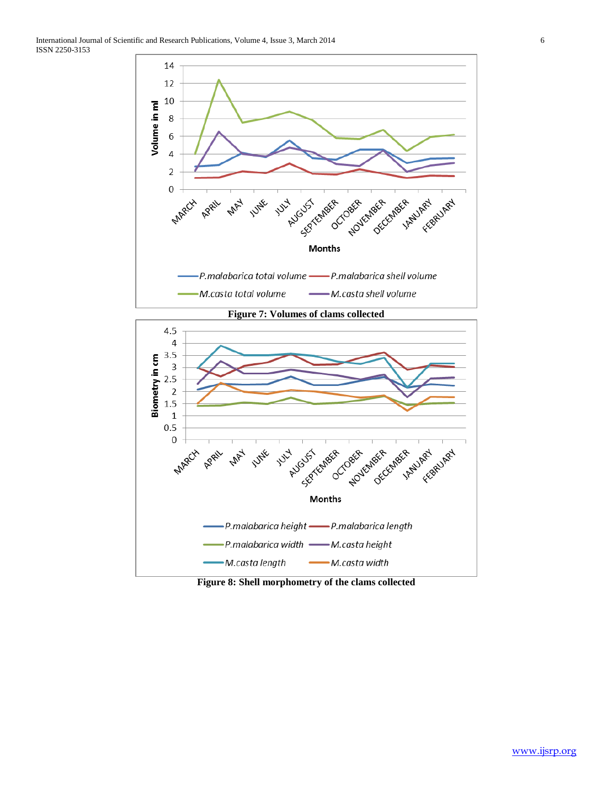



**Figure 8: Shell morphometry of the clams collected**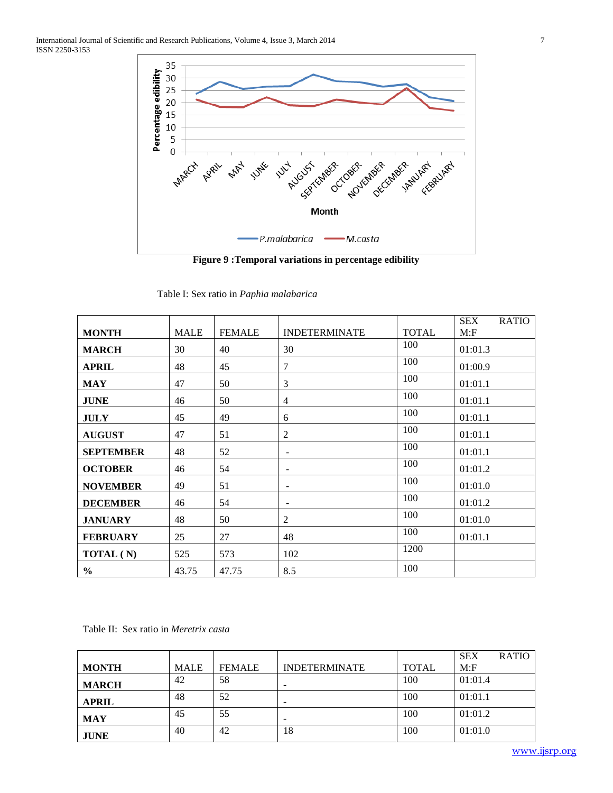

**Figure 9 :Temporal variations in percentage edibility**

|                  |             |               |                          |              | <b>SEX</b> | <b>RATIO</b> |
|------------------|-------------|---------------|--------------------------|--------------|------------|--------------|
| <b>MONTH</b>     | <b>MALE</b> | <b>FEMALE</b> | <b>INDETERMINATE</b>     | <b>TOTAL</b> | M: F       |              |
| <b>MARCH</b>     | 30          | 40            | 30                       | 100          | 01:01.3    |              |
| <b>APRIL</b>     | 48          | 45            | $\tau$                   | 100          | 01:00.9    |              |
| <b>MAY</b>       | 47          | 50            | 3                        | 100          | 01:01.1    |              |
| <b>JUNE</b>      | 46          | 50            | $\overline{4}$           | 100          | 01:01.1    |              |
| <b>JULY</b>      | 45          | 49            | 6                        | 100          | 01:01.1    |              |
| <b>AUGUST</b>    | 47          | 51            | 2                        | 100          | 01:01.1    |              |
| <b>SEPTEMBER</b> | 48          | 52            | $\overline{\phantom{a}}$ | 100          | 01:01.1    |              |
| <b>OCTOBER</b>   | 46          | 54            | $\overline{\phantom{0}}$ | 100          | 01:01.2    |              |
| <b>NOVEMBER</b>  | 49          | 51            |                          | 100          | 01:01.0    |              |
| <b>DECEMBER</b>  | 46          | 54            | $\overline{\phantom{0}}$ | 100          | 01:01.2    |              |
| <b>JANUARY</b>   | 48          | 50            | 2                        | 100          | 01:01.0    |              |
| <b>FEBRUARY</b>  | 25          | 27            | 48                       | 100          | 01:01.1    |              |
| TOTAL (N)        | 525         | 573           | 102                      | 1200         |            |              |
| $\frac{0}{0}$    | 43.75       | 47.75         | 8.5                      | 100          |            |              |

Table I: Sex ratio in *Paphia malabarica*

Table II: Sex ratio in *Meretrix casta*

|              |             |               |                          |              | <b>SEX</b> | <b>RATIO</b> |
|--------------|-------------|---------------|--------------------------|--------------|------------|--------------|
| <b>MONTH</b> | <b>MALE</b> | <b>FEMALE</b> | <b>INDETERMINATE</b>     | <b>TOTAL</b> | M: F       |              |
| <b>MARCH</b> | 42          | 58            | $\overline{\phantom{0}}$ | 100          | 01:01.4    |              |
| <b>APRIL</b> | 48          | 52            | -                        | 100          | 01:01.1    |              |
| <b>MAY</b>   | 45          | 55            | $\overline{\phantom{a}}$ | 100          | 01:01.2    |              |
| <b>JUNE</b>  | 40          | 42            | 18                       | 100          | 01:01.0    |              |